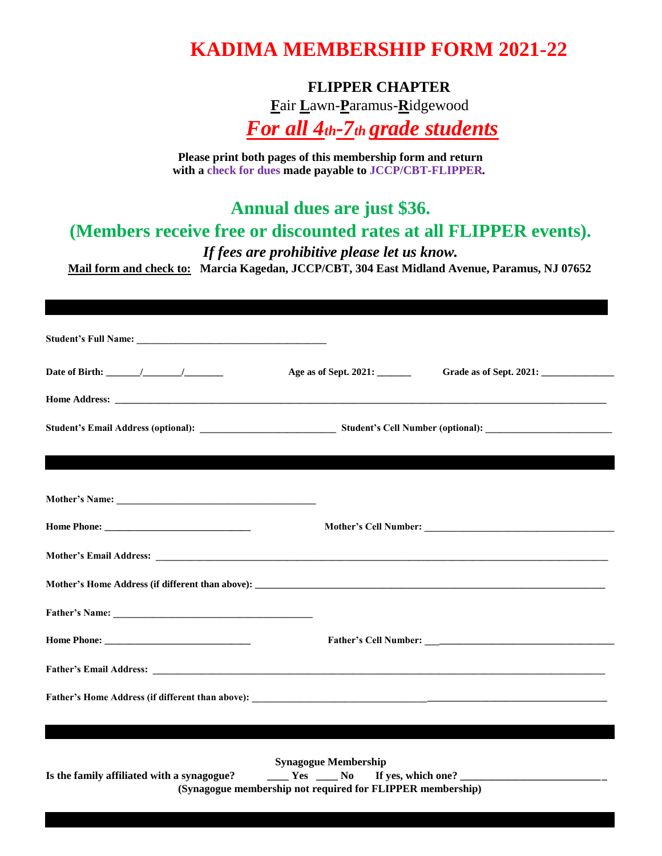## **KADIMA MEMBERSHIP FORM 2021-22**

**FLIPPER CHAPTER**

**F**air **L**awn-**P**aramus-**R**idgewood

*For all 4th-7th grade students*

**Please print both pages of this membership form and return with a check for dues made payable to JCCP/CBT-FLIPPER***.* 

**Annual dues are just \$36.** 

**(Members receive free or discounted rates at all FLIPPER events).** 

*If fees are prohibitive please let us know.* 

**Mail form and check to: Marcia Kagedan, JCCP/CBT, 304 East Midland Avenue, Paramus, NJ 07652**

**PLEASE PRINT \_\_\_\_\_\_\_\_\_\_\_\_\_\_\_\_\_\_\_\_\_\_\_ PRINT \_\_\_\_\_\_\_\_\_\_\_\_\_\_\_\_\_\_\_\_\_\_\_ \_\_\_\_\_\_\_\_\_\_\_\_\_\_\_\_\_\_** 

|                                            | Age as of Sept. 2021: _______                                                             |                             |
|--------------------------------------------|-------------------------------------------------------------------------------------------|-----------------------------|
|                                            |                                                                                           |                             |
|                                            |                                                                                           |                             |
|                                            |                                                                                           |                             |
|                                            |                                                                                           |                             |
|                                            |                                                                                           |                             |
|                                            |                                                                                           |                             |
|                                            |                                                                                           |                             |
|                                            |                                                                                           |                             |
|                                            |                                                                                           |                             |
|                                            |                                                                                           |                             |
|                                            |                                                                                           |                             |
|                                            |                                                                                           |                             |
| Is the family affiliated with a synagogue? | <b>Synagogue Membership</b><br>(Synagogue membership not required for FLIPPER membership) | $Yes$ Mo If yes, which one? |
|                                            |                                                                                           |                             |